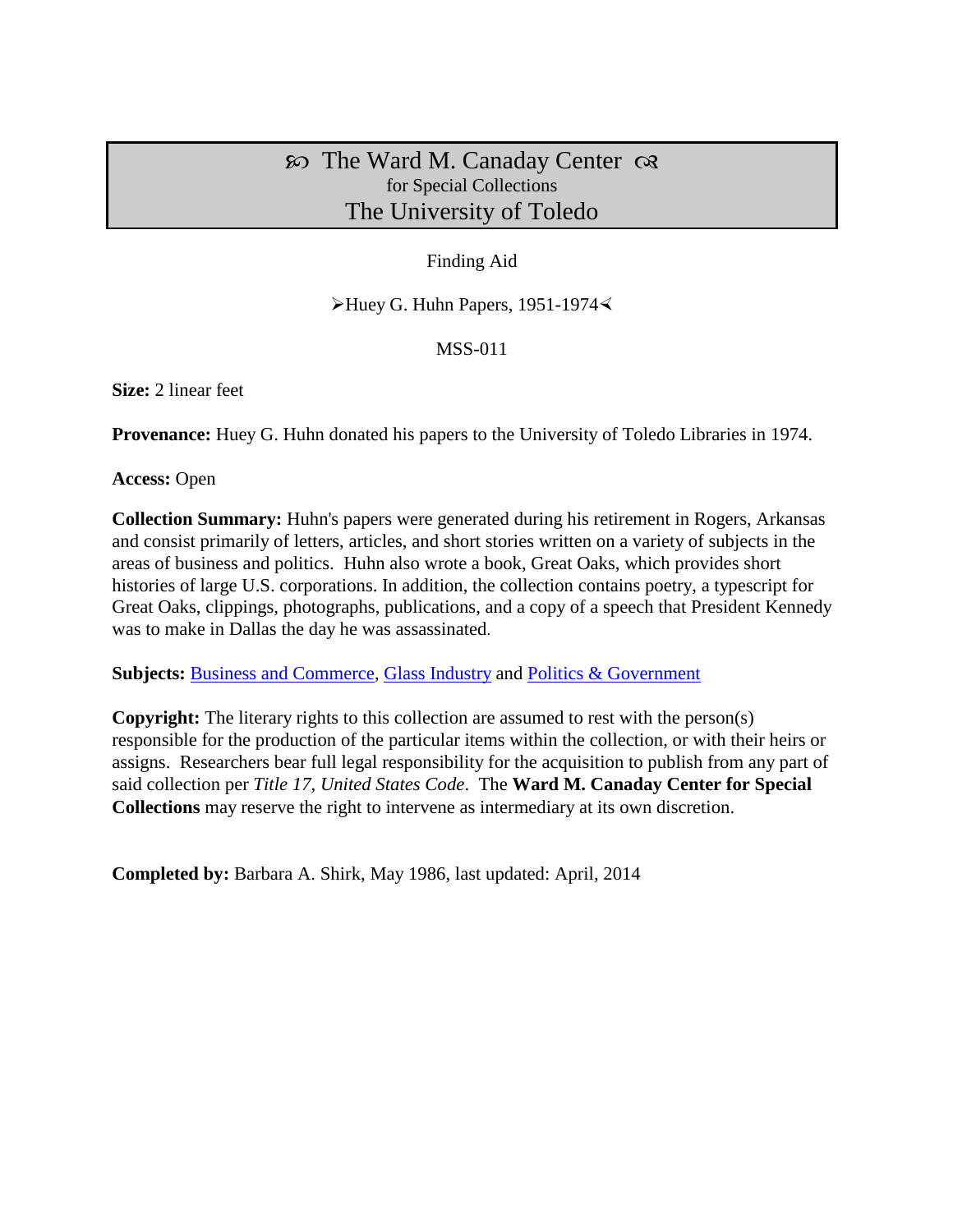# $\infty$  The Ward M. Canaday Center  $\infty$ for Special Collections The University of Toledo

## Finding Aid

 $\blacktriangleright$  Huey G. Huhn Papers, 1951-1974 $\blacktriangleleft$ 

#### MSS-011

**Size:** 2 linear feet

**Provenance:** Huey G. Huhn donated his papers to the University of Toledo Libraries in 1974.

**Access:** Open

**Collection Summary:** Huhn's papers were generated during his retirement in Rogers, Arkansas and consist primarily of letters, articles, and short stories written on a variety of subjects in the areas of business and politics. Huhn also wrote a book, Great Oaks, which provides short histories of large U.S. corporations. In addition, the collection contains poetry, a typescript for Great Oaks, clippings, photographs, publications, and a copy of a speech that President Kennedy was to make in Dallas the day he was assassinated.

**Subjects: [Business and Commerce,](http://www.utoledo.edu/library/canaday/guidepages/business.html) [Glass Industry](http://www.utoledo.edu/library/canaday/guidepages/glass.html) and [Politics & Government](http://www.utoledo.edu/library/canaday/guidepages/politics.html)** 

**Copyright:** The literary rights to this collection are assumed to rest with the person(s) responsible for the production of the particular items within the collection, or with their heirs or assigns. Researchers bear full legal responsibility for the acquisition to publish from any part of said collection per *Title 17, United States Code*. The **Ward M. Canaday Center for Special Collections** may reserve the right to intervene as intermediary at its own discretion.

**Completed by:** Barbara A. Shirk, May 1986, last updated: April, 2014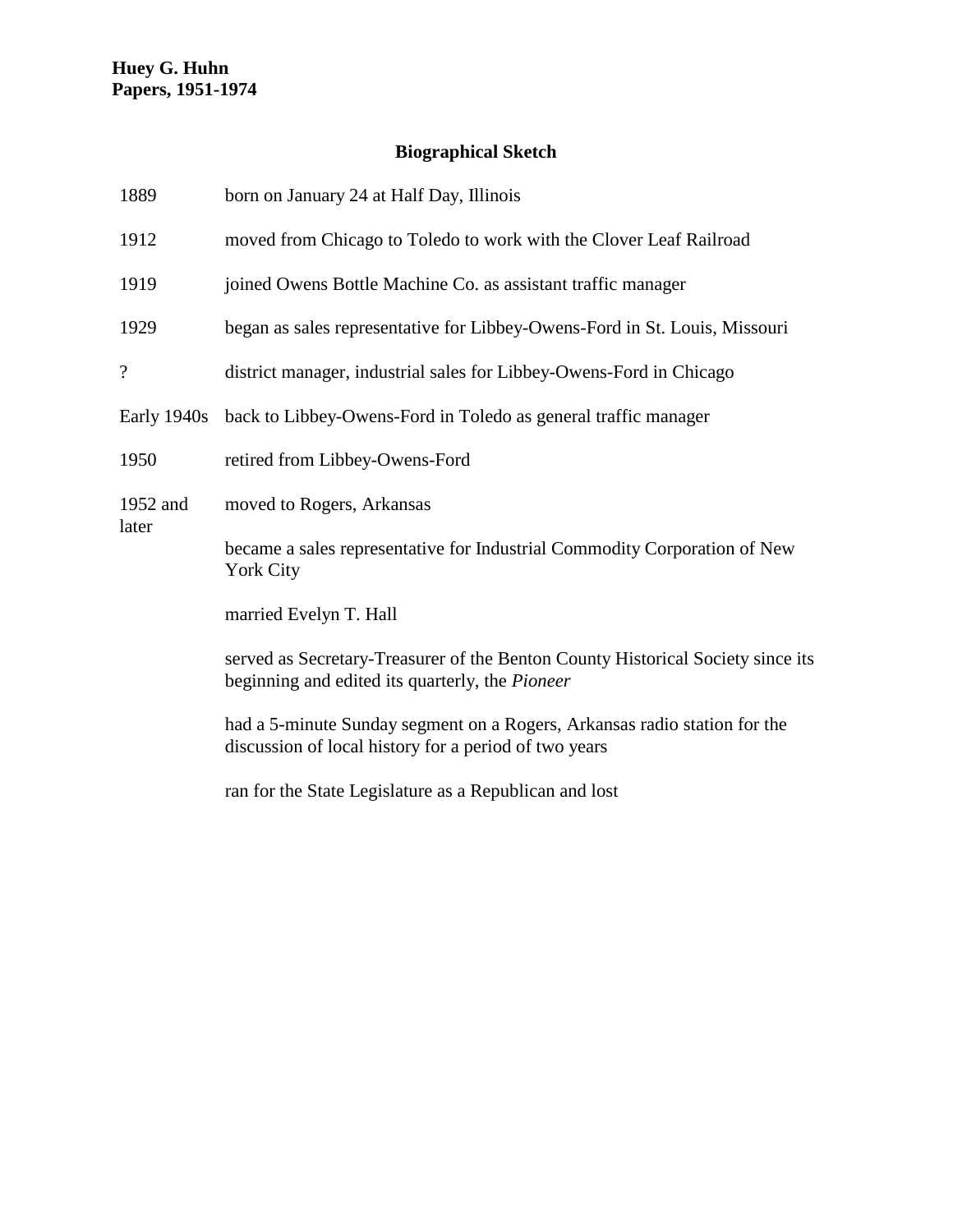# **Biographical Sketch**

| 1889              | born on January 24 at Half Day, Illinois                                                                                           |  |
|-------------------|------------------------------------------------------------------------------------------------------------------------------------|--|
| 1912              | moved from Chicago to Toledo to work with the Clover Leaf Railroad                                                                 |  |
| 1919              | joined Owens Bottle Machine Co. as assistant traffic manager                                                                       |  |
| 1929              | began as sales representative for Libbey-Owens-Ford in St. Louis, Missouri                                                         |  |
| $\overline{?}$    | district manager, industrial sales for Libbey-Owens-Ford in Chicago                                                                |  |
| Early 1940s       | back to Libbey-Owens-Ford in Toledo as general traffic manager                                                                     |  |
| 1950              | retired from Libbey-Owens-Ford                                                                                                     |  |
| 1952 and<br>later | moved to Rogers, Arkansas                                                                                                          |  |
|                   | became a sales representative for Industrial Commodity Corporation of New<br><b>York City</b>                                      |  |
|                   | married Evelyn T. Hall                                                                                                             |  |
|                   | served as Secretary-Treasurer of the Benton County Historical Society since its<br>beginning and edited its quarterly, the Pioneer |  |
|                   | had a 5-minute Sunday segment on a Rogers, Arkansas radio station for the<br>discussion of local history for a period of two years |  |
|                   | ran for the State Legislature as a Republican and lost                                                                             |  |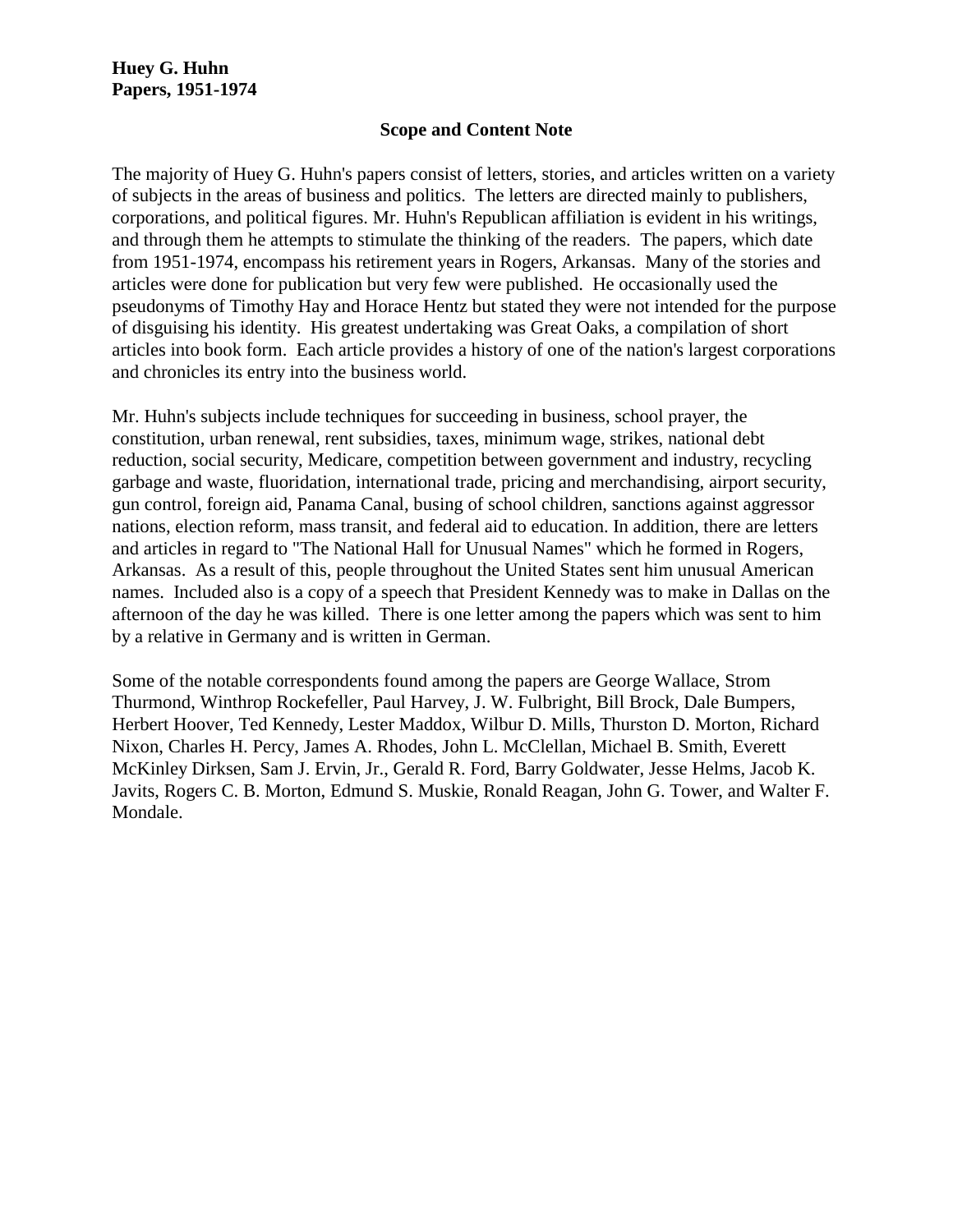#### **Scope and Content Note**

The majority of Huey G. Huhn's papers consist of letters, stories, and articles written on a variety of subjects in the areas of business and politics. The letters are directed mainly to publishers, corporations, and political figures. Mr. Huhn's Republican affiliation is evident in his writings, and through them he attempts to stimulate the thinking of the readers. The papers, which date from 1951-1974, encompass his retirement years in Rogers, Arkansas. Many of the stories and articles were done for publication but very few were published. He occasionally used the pseudonyms of Timothy Hay and Horace Hentz but stated they were not intended for the purpose of disguising his identity. His greatest undertaking was Great Oaks, a compilation of short articles into book form. Each article provides a history of one of the nation's largest corporations and chronicles its entry into the business world.

Mr. Huhn's subjects include techniques for succeeding in business, school prayer, the constitution, urban renewal, rent subsidies, taxes, minimum wage, strikes, national debt reduction, social security, Medicare, competition between government and industry, recycling garbage and waste, fluoridation, international trade, pricing and merchandising, airport security, gun control, foreign aid, Panama Canal, busing of school children, sanctions against aggressor nations, election reform, mass transit, and federal aid to education. In addition, there are letters and articles in regard to "The National Hall for Unusual Names" which he formed in Rogers, Arkansas. As a result of this, people throughout the United States sent him unusual American names. Included also is a copy of a speech that President Kennedy was to make in Dallas on the afternoon of the day he was killed. There is one letter among the papers which was sent to him by a relative in Germany and is written in German.

Some of the notable correspondents found among the papers are George Wallace, Strom Thurmond, Winthrop Rockefeller, Paul Harvey, J. W. Fulbright, Bill Brock, Dale Bumpers, Herbert Hoover, Ted Kennedy, Lester Maddox, Wilbur D. Mills, Thurston D. Morton, Richard Nixon, Charles H. Percy, James A. Rhodes, John L. McClellan, Michael B. Smith, Everett McKinley Dirksen, Sam J. Ervin, Jr., Gerald R. Ford, Barry Goldwater, Jesse Helms, Jacob K. Javits, Rogers C. B. Morton, Edmund S. Muskie, Ronald Reagan, John G. Tower, and Walter F. Mondale.